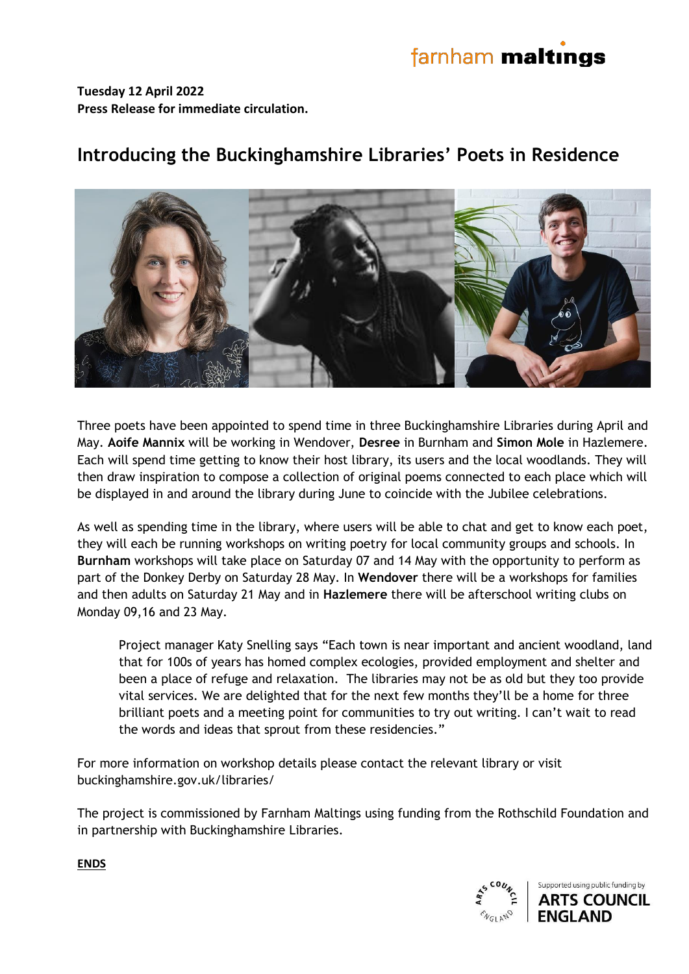# farnham maltings

**Tuesday 12 April 2022 Press Release for immediate circulation.**

## **Introducing the Buckinghamshire Libraries' Poets in Residence**

Three poets have been appointed to spend time in three Buckinghamshire Libraries during April and May. **Aoife Mannix** will be working in Wendover, **Desree** in Burnham and **Simon Mole** in Hazlemere. Each will spend time getting to know their host library, its users and the local woodlands. They will then draw inspiration to compose a collection of original poems connected to each place which will be displayed in and around the library during June to coincide with the Jubilee celebrations.

As well as spending time in the library, where users will be able to chat and get to know each poet, they will each be running workshops on writing poetry for local community groups and schools. In **Burnham** workshops will take place on Saturday 07 and 14 May with the opportunity to perform as part of the Donkey Derby on Saturday 28 May. In **Wendover** there will be a workshops for families and then adults on Saturday 21 May and in **Hazlemere** there will be afterschool writing clubs on Monday 09,16 and 23 May.

Project manager Katy Snelling says "Each town is near important and ancient woodland, land that for 100s of years has homed complex ecologies, provided employment and shelter and been a place of refuge and relaxation. The libraries may not be as old but they too provide vital services. We are delighted that for the next few months they'll be a home for three brilliant poets and a meeting point for communities to try out writing. I can't wait to read the words and ideas that sprout from these residencies."

For more information on workshop details please contact the relevant library or visit buckinghamshire.gov.uk/libraries/

The project is commissioned by Farnham Maltings using funding from the Rothschild Foundation and in partnership with Buckinghamshire Libraries.



**ENDS**